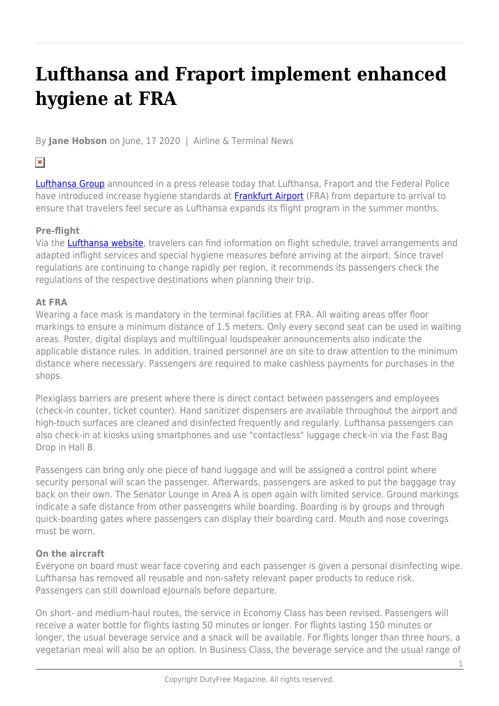# **Lufthansa and Fraport implement enhanced hygiene at FRA**

By **Jane Hobson** on June, 17 2020 | Airline & Terminal News

## $\pmb{\times}$

[Lufthansa Group](https://www.lufthansagroup.com/en/company.html) announced in a press release today that Lufthansa, Fraport and the Federal Police have introduced increase hygiene standards at **[Frankfurt Airport](https://www.frankfurt-airport.com/en.html)** (FRA) from departure to arrival to ensure that travelers feel secure as Lufthansa expands its flight program in the summer months.

### **Pre-flight**

Via the [Lufthansa website](https://www.lufthansa.com/ca/en/homepage), travelers can find information on flight schedule, travel arrangements and adapted inflight services and special hygiene measures before arriving at the airport. Since travel regulations are continuing to change rapidly per region, it recommends its passengers check the regulations of the respective destinations when planning their trip.

### **At FRA**

Wearing a face mask is mandatory in the terminal facilities at FRA. All waiting areas offer floor markings to ensure a minimum distance of 1.5 meters. Only every second seat can be used in waiting areas. Poster, digital displays and multilingual loudspeaker announcements also indicate the applicable distance rules. In addition, trained personnel are on site to draw attention to the minimum distance where necessary. Passengers are required to make cashless payments for purchases in the shops.

Plexiglass barriers are present where there is direct contact between passengers and employees (check-in counter, ticket counter). Hand sanitizer dispensers are available throughout the airport and high-touch surfaces are cleaned and disinfected frequently and regularly. Lufthansa passengers can also check-in at kiosks using smartphones and use "contactless" luggage check-in via the Fast Bag Drop in Hall B.

Passengers can bring only one piece of hand luggage and will be assigned a control point where security personal will scan the passenger. Afterwards, passengers are asked to put the baggage tray back on their own. The Senator Lounge in Area A is open again with limited service. Ground markings indicate a safe distance from other passengers while boarding. Boarding is by groups and through quick-boarding gates where passengers can display their boarding card. Mouth and nose coverings must be worn.

#### **On the aircraft**

Everyone on board must wear face covering and each passenger is given a personal disinfecting wipe. Lufthansa has removed all reusable and non-safety relevant paper products to reduce risk. Passengers can still download eJournals before departure.

On short- and medium-haul routes, the service in Economy Class has been revised. Passengers will receive a water bottle for flights lasting 50 minutes or longer. For flights lasting 150 minutes or longer, the usual beverage service and a snack will be available. For flights longer than three hours, a vegetarian meal will also be an option. In Business Class, the beverage service and the usual range of